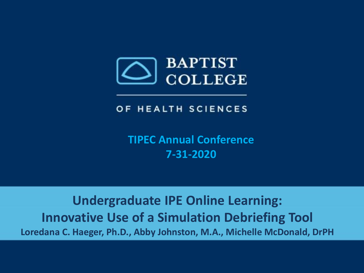

#### OF HEALTH SCIENCES

**TIPEC Annual Conference 7-31-2020**

**Undergraduate IPE Online Learning: Innovative Use of a Simulation Debriefing Tool Loredana C. Haeger, Ph.D., Abby Johnston, M.A., Michelle McDonald, DrPH**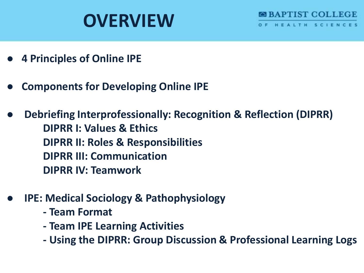# **OVERVIEW**



- **● 4 Principles of Online IPE**
- **● Components for Developing Online IPE**
- **● Debriefing Interprofessionally: Recognition & Reflection (DIPRR) DIPRR I: Values & Ethics DIPRR II: Roles & Responsibilities DIPRR III: Communication DIPRR IV: Teamwork**
- **● IPE: Medical Sociology & Pathophysiology**
	- **- Team Format**
	- **- Team IPE Learning Activities**
	- **- Using the DIPRR: Group Discussion & Professional Learning Logs**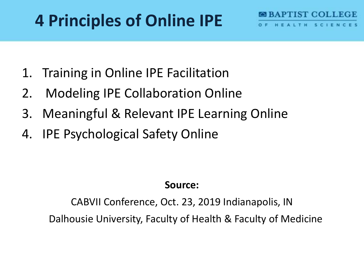## **4 Principles of Online IPE**

- 1. Training in Online IPE Facilitation
- 2. Modeling IPE Collaboration Online
- 3. Meaningful & Relevant IPE Learning Online
- 4. IPE Psychological Safety Online

### **Source:**

A PINISTICO DI LEGIT

HEALTH SCIENC

CABVII Conference, Oct. 23, 2019 Indianapolis, IN Dalhousie University, Faculty of Health & Faculty of Medicine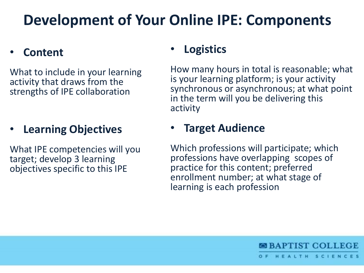## **Development of Your Online IPE: Components**

#### • **Content**

What to include in your learning activity that draws from the strengths of IPE collaboration

### • **Learning Objectives**

What IPE competencies will you target; develop 3 learning objectives specific to this IPE

#### • **Logistics**

How many hours in total is reasonable; what is your learning platform; is your activity synchronous or asynchronous; at what point in the term will you be delivering this activity

#### • **Target Audience**

Which professions will participate; which professions have overlapping scopes of practice for this content; preferred enrollment number; at what stage of learning is each profession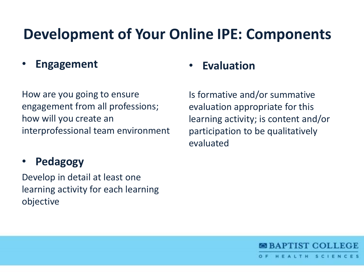## **Development of Your Online IPE: Components**

• **Engagement**

How are you going to ensure engagement from all professions; how will you create an interprofessional team environment

### • **Pedagogy**

Develop in detail at least one learning activity for each learning objective

#### • **Evaluation**

Is formative and/or summative evaluation appropriate for this learning activity; is content and/or participation to be qualitatively evaluated

**BBAPTIST COLLEGE** 

HEALTH SCIENCES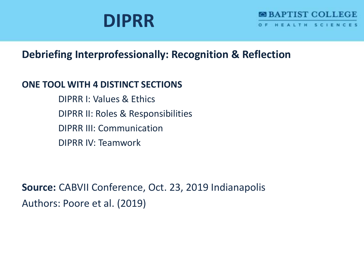## **DIPRR**

#### **Debriefing Interprofessionally: Recognition & Reflection**

#### **ONE TOOL WITH 4 DISTINCT SECTIONS**

DIPRR I: Values & Ethics DIPRR II: Roles & Responsibilities DIPRR III: Communication DIPRR IV: Teamwork

**Source:** CABVII Conference, Oct. 23, 2019 Indianapolis Authors: Poore et al. (2019)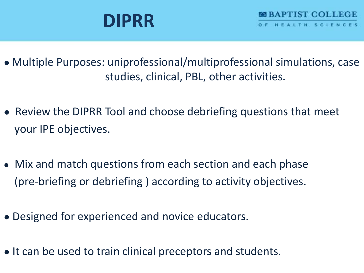- Multiple Purposes: uniprofessional/multiprofessional simulations, case studies, clinical, PBL, other activities.
- Review the DIPRR Tool and choose debriefing questions that meet your IPE objectives.
- Mix and match questions from each section and each phase (pre-briefing or debriefing ) according to activity objectives.
- Designed for experienced and novice educators.
- It can be used to train clinical preceptors and students.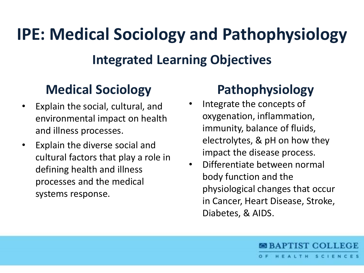# **IPE: Medical Sociology and Pathophysiology**

### **Integrated Learning Objectives**

### **Medical Sociology**

- Explain the social, cultural, and environmental impact on health and illness processes.
- Explain the diverse social and cultural factors that play a role in defining health and illness processes and the medical systems response.

## **Pathophysiology**

- Integrate the concepts of oxygenation, inflammation, immunity, balance of fluids, electrolytes, & pH on how they impact the disease process.
- Differentiate between normal body function and the physiological changes that occur in Cancer, Heart Disease, Stroke, Diabetes, & AIDS.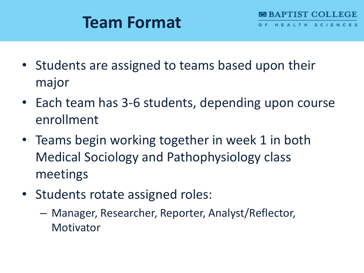## **Team Format**

- Students are assigned to teams based upon their major
- Each team has 3-6 students, depending upon course enrollment
- Teams begin working together in week 1 in both Medical Sociology and Pathophysiology class meetings
- Students rotate assigned roles:
	- Manager, Researcher, Reporter, Analyst/Reflector, **Motivator**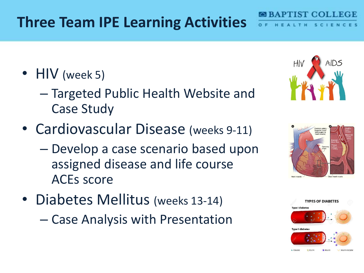## **Three Team IPE Learning Activities**

- HIV (week 5)
	- Targeted Public Health Website and Case Study
- Cardiovascular Disease (weeks 9-11)
	- Develop a case scenario based upon assigned disease and life course ACEs score
- Diabetes Mellitus (weeks 13-14)
	- Case Analysis with Presentation







**APTIST COLLEC**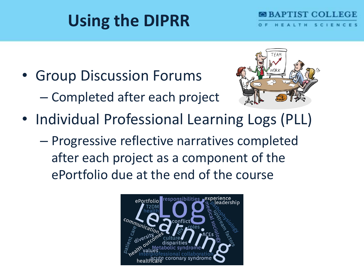# **Using the DIPRR**

• Group Discussion Forums – Completed after each project



**APTIST COLL** 

- Individual Professional Learning Logs (PLL)
	- Progressive reflective narratives completed after each project as a component of the ePortfolio due at the end of the course

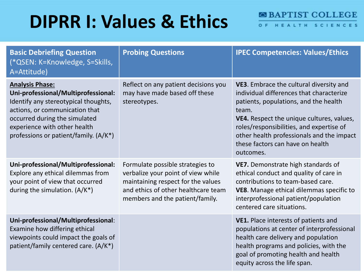# **DIPRR I: Values & Ethics**

O F T.H. SC<sub>1</sub>  $E$ ES N.  $\mathbf{C}$ 

| <b>Basic Debriefing Question</b><br>(*QSEN: K=Knowledge, S=Skills,<br>A=Attitude)                                                                                                                                                                 | <b>Probing Questions</b>                                                                                                                                                               | <b>IPEC Competencies: Values/Ethics</b>                                                                                                                                                                                                                                                                                      |
|---------------------------------------------------------------------------------------------------------------------------------------------------------------------------------------------------------------------------------------------------|----------------------------------------------------------------------------------------------------------------------------------------------------------------------------------------|------------------------------------------------------------------------------------------------------------------------------------------------------------------------------------------------------------------------------------------------------------------------------------------------------------------------------|
| <b>Analysis Phase:</b><br>Uni-professional/Multiprofessional:<br>Identify any stereotypical thoughts,<br>actions, or communication that<br>occurred during the simulated<br>experience with other health<br>professions or patient/family. (A/K*) | Reflect on any patient decisions you<br>may have made based off these<br>stereotypes.                                                                                                  | VE3. Embrace the cultural diversity and<br>individual differences that characterize<br>patients, populations, and the health<br>team.<br>VE4. Respect the unique cultures, values,<br>roles/responsibilities, and expertise of<br>other health professionals and the impact<br>these factors can have on health<br>outcomes. |
| Uni-professional/Multiprofessional:<br>Explore any ethical dilemmas from<br>your point of view that occurred<br>during the simulation. $(A/K^*)$                                                                                                  | Formulate possible strategies to<br>verbalize your point of view while<br>maintaining respect for the values<br>and ethics of other healthcare team<br>members and the patient/family. | VE7. Demonstrate high standards of<br>ethical conduct and quality of care in<br>contributions to team-based care.<br>VE8. Manage ethical dilemmas specific to<br>interprofessional patient/population<br>centered care situations.                                                                                           |
| Uni-professional/Multiprofessional:<br>Examine how differing ethical<br>viewpoints could impact the goals of<br>patient/family centered care. (A/K*)                                                                                              |                                                                                                                                                                                        | VE1. Place interests of patients and<br>populations at center of interprofessional<br>health care delivery and population<br>health programs and policies, with the<br>goal of promoting health and health<br>equity across the life span.                                                                                   |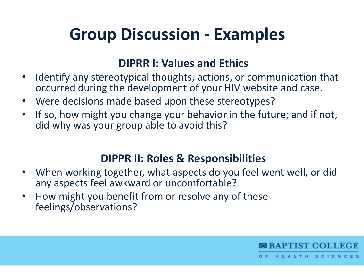## **Group Discussion - Examples**

### **DIPRR I: Values and Ethics**

- Identify any stereotypical thoughts, actions, or communication that occurred during the development of your HIV website and case.
- Were decisions made based upon these stereotypes?
- If so, how might you change your behavior in the future; and if not, did why was your group able to avoid this?

### **DIPPR II: Roles & Responsibilities**

• When working together, what aspects do you feel went well, or did any aspects feel awkward or uncomfortable?

**SBAPTIST COLLEGE** 

HEALTH SCIENC

• How might you benefit from or resolve any of these feelings/observations?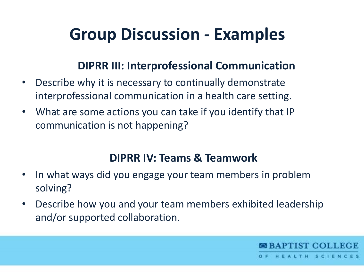## **Group Discussion - Examples**

### **DIPRR III: Interprofessional Communication**

- Describe why it is necessary to continually demonstrate interprofessional communication in a health care setting.
- What are some actions you can take if you identify that IP communication is not happening?

### **DIPRR IV: Teams & Teamwork**

- In what ways did you engage your team members in problem solving?
- Describe how you and your team members exhibited leadership and/or supported collaboration.

**BBAPTIST COLLEGE** 

ALTH SCIENC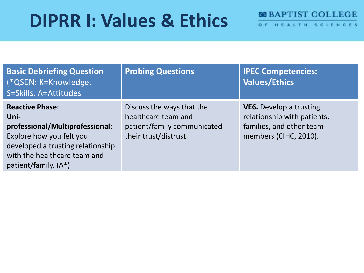# **DIPRR I: Values & Ethics**

| OF HEALTH SCIENCES |
|--------------------|
|--------------------|

| <b>Basic Debriefing Question</b><br>(*QSEN: K=Knowledge,<br>S=Skills, A=Attitudes                                                                                                          | <b>Probing Questions</b>                                                                                 | <b>IPEC Competencies:</b><br><b>Values/Ethics</b>                                                                  |
|--------------------------------------------------------------------------------------------------------------------------------------------------------------------------------------------|----------------------------------------------------------------------------------------------------------|--------------------------------------------------------------------------------------------------------------------|
| <b>Reactive Phase:</b><br>Uni-<br>professional/Multiprofessional:<br>Explore how you felt you<br>developed a trusting relationship<br>with the healthcare team and<br>patient/family. (A*) | Discuss the ways that the<br>healthcare team and<br>patient/family communicated<br>their trust/distrust. | <b>VE6.</b> Develop a trusting<br>relationship with patients,<br>families, and other team<br>members (CIHC, 2010). |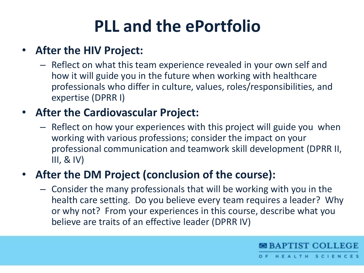# **PLL and the ePortfolio**

### • **After the HIV Project:**

– Reflect on what this team experience revealed in your own self and how it will guide you in the future when working with healthcare professionals who differ in culture, values, roles/responsibilities, and expertise (DPRR I)

### • **After the Cardiovascular Project:**

– Reflect on how your experiences with this project will guide you when working with various professions; consider the impact on your professional communication and teamwork skill development (DPRR II,  $III, & IV)$ 

### • **After the DM Project (conclusion of the course):**

– Consider the many professionals that will be working with you in the health care setting. Do you believe every team requires a leader? Why or why not? From your experiences in this course, describe what you believe are traits of an effective leader (DPRR IV)

**BBAPTIST COLLEGE** 

HEALTH SCIENC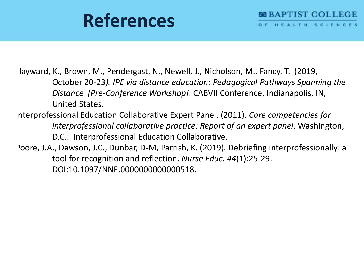# **References**

Hayward, K., Brown, M., Pendergast, N., Newell, J., Nicholson, M., Fancy, T. (2019, October 20-23*). IPE via distance education: Pedagogical Pathways Spanning the Distance [Pre-Conference Workshop]*. CABVII Conference, Indianapolis, IN, United States.

- Interprofessional Education Collaborative Expert Panel. (2011). *Core competencies for interprofessional collaborative practice: Report of an expert panel*. Washington, D.C.: Interprofessional Education Collaborative.
- Poore, J.A., Dawson, J.C., Dunbar, D-M, Parrish, K. (2019). Debriefing interprofessionally: a tool for recognition and reflection. *Nurse Educ*. *44*(1):25-29. DOI:10.1097/NNE.0000000000000518.